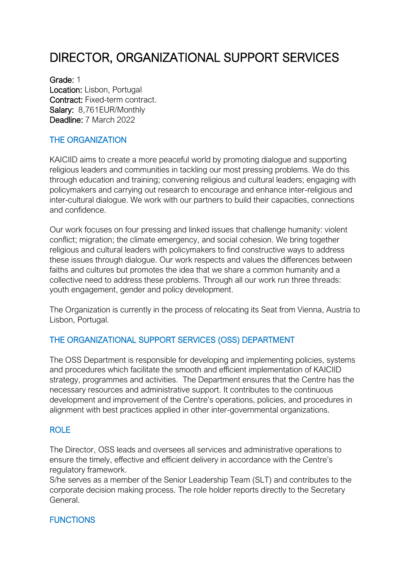# DIRECTOR, ORGANIZATIONAL SUPPORT SERVICES

Grade: 1 Location: Lisbon, Portugal Contract: Fixed-term contract. Salary: 8,761EUR/Monthly Deadline: 7 March 2022

### THE ORGANIZATION

KAICIID aims to create a more peaceful world by promoting dialogue and supporting religious leaders and communities in tackling our most pressing problems. We do this through education and training; convening religious and cultural leaders; engaging with policymakers and carrying out research to encourage and enhance inter-religious and inter-cultural dialogue. We work with our partners to build their capacities, connections and confidence.

Our work focuses on four pressing and linked issues that challenge humanity: violent conflict; migration; the climate emergency, and social cohesion. We bring together religious and cultural leaders with policymakers to find constructive ways to address these issues through dialogue. Our work respects and values the differences between faiths and cultures but promotes the idea that we share a common humanity and a collective need to address these problems. Through all our work run three threads: youth engagement, gender and policy development.

The Organization is currently in the process of relocating its Seat from Vienna, Austria to Lisbon, Portugal.

#### THE ORGANIZATIONAL SUPPORT SERVICES (OSS) DEPARTMENT

The OSS Department is responsible for developing and implementing policies, systems and procedures which facilitate the smooth and efficient implementation of KAICIID strategy, programmes and activities. The Department ensures that the Centre has the necessary resources and administrative support. It contributes to the continuous development and improvement of the Centre's operations, policies, and procedures in alignment with best practices applied in other inter-governmental organizations.

#### ROLE

The Director, OSS leads and oversees all services and administrative operations to ensure the timely, effective and efficient delivery in accordance with the Centre's regulatory framework.

S/he serves as a member of the Senior Leadership Team (SLT) and contributes to the corporate decision making process. The role holder reports directly to the Secretary General.

#### **FUNCTIONS**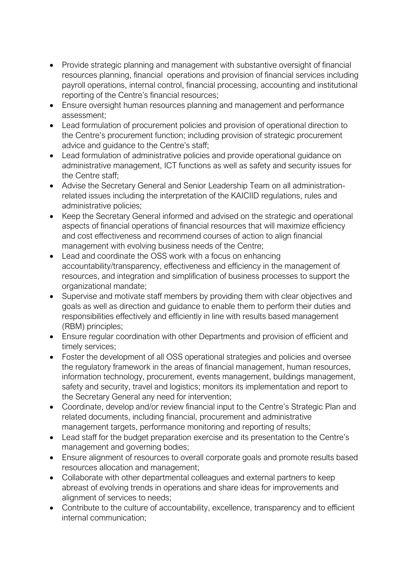- Provide strategic planning and management with substantive oversight of financial resources planning, financial operations and provision of financial services including payroll operations, internal control, financial processing, accounting and institutional reporting of the Centre's financial resources;
- Ensure oversight human resources planning and management and performance assessment;
- Lead formulation of procurement policies and provision of operational direction to the Centre's procurement function; including provision of strategic procurement advice and guidance to the Centre's staff;
- Lead formulation of administrative policies and provide operational guidance on administrative management, ICT functions as well as safety and security issues for the Centre staff;
- Advise the Secretary General and Senior Leadership Team on all administrationrelated issues including the interpretation of the KAICIID regulations, rules and administrative policies;
- Keep the Secretary General informed and advised on the strategic and operational aspects of financial operations of financial resources that will maximize efficiency and cost effectiveness and recommend courses of action to align financial management with evolving business needs of the Centre;
- Lead and coordinate the OSS work with a focus on enhancing accountability/transparency, effectiveness and efficiency in the management of resources, and integration and simplification of business processes to support the organizational mandate;
- Supervise and motivate staff members by providing them with clear objectives and goals as well as direction and guidance to enable them to perform their duties and responsibilities effectively and efficiently in line with results based management (RBM) principles;
- Ensure regular coordination with other Departments and provision of efficient and timely services;
- Foster the development of all OSS operational strategies and policies and oversee the regulatory framework in the areas of financial management, human resources, information technology, procurement, events management, buildings management, safety and security, travel and logistics; monitors its implementation and report to the Secretary General any need for intervention;
- Coordinate, develop and/or review financial input to the Centre's Strategic Plan and related documents, including financial, procurement and administrative management targets, performance monitoring and reporting of results;
- Lead staff for the budget preparation exercise and its presentation to the Centre's management and governing bodies;
- Ensure alignment of resources to overall corporate goals and promote results based resources allocation and management;
- Collaborate with other departmental colleagues and external partners to keep abreast of evolving trends in operations and share ideas for improvements and alignment of services to needs;
- Contribute to the culture of accountability, excellence, transparency and to efficient internal communication;